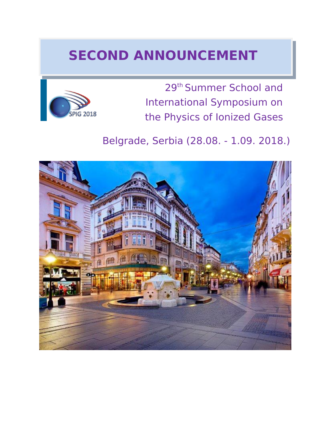# **SECOND ANNOUNCEMENT**



29th Summer School and International Symposium on the Physics of Ionized Gases

## Belgrade, Serbia (28.08. - 1.09. 2018.)

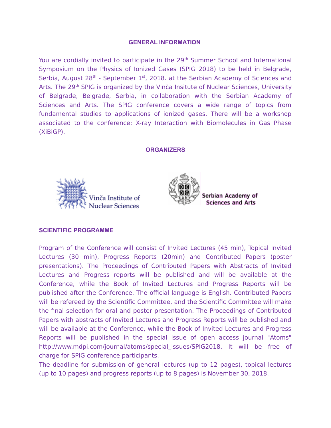#### **GENERAL INFORMATION**

You are cordially invited to participate in the 29<sup>th</sup> Summer School and International Symposium on the Physics of Ionized Gases (SPIG 2018) to be held in Belgrade, Serbia, August  $28<sup>th</sup>$  - September  $1<sup>st</sup>$ , 2018. at the Serbian Academy of Sciences and Arts. The 29<sup>th</sup> SPIG is organized by the Vinča Insitute of Nuclear Sciences, University of Belgrade, Belgrade, Serbia, in collaboration with the Serbian Academy of Sciences and Arts. The SPIG conference covers a wide range of topics from fundamental studies to applications of ionized gases. There will be a workshop associated to the conference: X-ray Interaction with Biomolecules in Gas Phase (XiBiGP).

#### **ORGANIZERS**





Serbian Academy of **Sciences and Arts** 

#### **SCIENTIFIC PROGRAMME**

Program of the Conference will consist of Invited Lectures (45 min), Topical Invited Lectures (30 min), Progress Reports (20min) and Contributed Papers (poster presentations). The Proceedings of Contributed Papers with Abstracts of Invited Lectures and Progress reports will be published and will be available at the Conference, while the Book of Invited Lectures and Progress Reports will be published after the Conference. The official language is English. Contributed Papers will be refereed by the Scientific Committee, and the Scientific Committee will make the final selection for oral and poster presentation. The Proceedings of Contributed Papers with abstracts of Invited Lectures and Progress Reports will be published and will be available at the Conference, while the Book of Invited Lectures and Progress Reports will be published in the special issue of open access journal "Atoms" http://www.mdpi.com/journal/atoms/special issues/SPIG2018. It will be free of charge for SPIG conference participants.

The deadline for submission of general lectures (up to 12 pages), topical lectures (up to 10 pages) and progress reports (up to 8 pages) is November 30, 2018.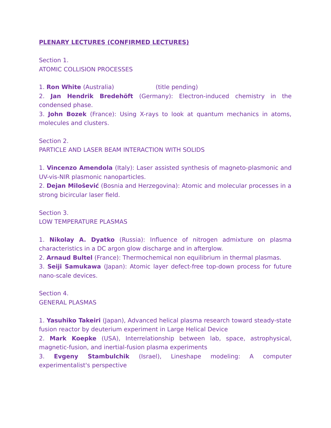#### **PLENARY LECTURES (CONFIRMED LECTURES)**

Section 1. ATOMIC COLLISION PROCESSES

1. **Ron White** (Australia) (title pending)

2. **Jan Hendrik Bredehöft** (Germany): Electron-induced chemistry in the condensed phase.

3. **John Bozek** (France): Using X-rays to look at quantum mechanics in atoms, molecules and clusters.

Section 2. PARTICLE AND LASER BEAM INTERACTION WITH SOLIDS

1. **Vincenzo Amendola** (Italy): Laser assisted synthesis of magneto-plasmonic and UV-vis-NIR plasmonic nanoparticles.

2. **Dejan Milošević** (Bosnia and Herzegovina): Atomic and molecular processes in a strong bicircular laser field.

Section 3. LOW TEMPERATURE PLASMAS

1. **Nikolay A. Dyatko** (Russia): Influence of nitrogen admixture on plasma characteristics in a DC argon glow discharge and in afterglow.

2. **Arnaud Bultel** (France): Thermochemical non equilibrium in thermal plasmas.

3. **Seiji Samukawa** (Japan): Atomic layer defect-free top-down process for future nano-scale devices.

Section 4. GENERAL PLASMAS

1. **Yasuhiko Takeiri** (Japan), Advanced helical plasma research toward steady-state fusion reactor by deuterium experiment in Large Helical Device

2. **Mark Koepke** (USA), Interrelationship between lab, space, astrophysical, magnetic-fusion, and inertial-fusion plasma experiments

3. **Evgeny Stambulchik** (Israel), Lineshape modeling: A computer experimentalist's perspective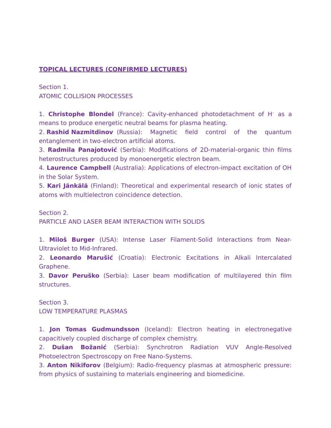### **TOPICAL LECTURES (CONFIRMED LECTURES)**

Section 1. ATOMIC COLLISION PROCESSES

1. **Christophe Blondel** (France): Cavity-enhanced photodetachment of H– as a means to produce energetic neutral beams for plasma heating.

2. **Rashid Nazmitdinov** (Russia): Magnetic field control of the quantum entanglement in two-electron artificial atoms.

3. **Radmila Panajotović** (Serbia): Modifications of 2D-material-organic thin films heterostructures produced by monoenergetic electron beam.

4. **Laurence Campbell** (Australia): Applications of electron-impact excitation of OH in the Solar System.

5. **Kari Jänkälä** (Finland): Theoretical and experimental research of ionic states of atoms with multielectron coincidence detection.

Section 2. PARTICLE AND LASER BEAM INTERACTION WITH SOLIDS.

1. **Miloš Burger** (USA): Intense Laser Filament-Solid Interactions from Near-Ultraviolet to Mid-Infrared.

2. **Leonardo Marušić** (Croatia): Electronic Excitations in Alkali Intercalated Graphene.

3. **Davor Peruško** (Serbia): Laser beam modification of multilayered thin film structures.

Section 3. LOW TEMPERATURE PLASMAS

1. **Jon Tomas Gudmundsson** (Iceland): Electron heating in electronegative capacitively coupled discharge of complex chemistry.

2. **Dušan Božanić** (Serbia): Synchrotron Radiation VUV Angle-Resolved Photoelectron Spectroscopy on Free Nano-Systems.

3. **Anton Nikiforov** (Belgium): Radio-frequency plasmas at atmospheric pressure: from physics of sustaining to materials engineering and biomedicine.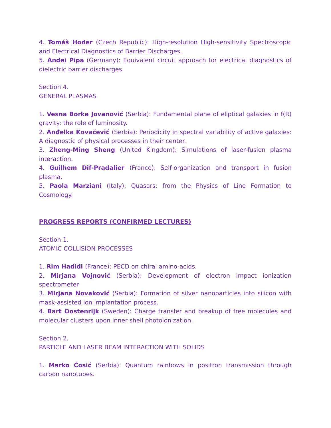4. **Tomáš Hoder** (Czech Republic): High-resolution High-sensitivity Spectroscopic and Electrical Diagnostics of Barrier Discharges.

5. **Andei Pipa** (Germany): Equivalent circuit approach for electrical diagnostics of dielectric barrier discharges.

Section 4. GENERAL PLASMAS

1. **Vesna Borka Jovanović** (Serbia): Fundamental plane of eliptical galaxies in f(R) gravity: the role of luminosity.

2. **Anđelka Kovačević** (Serbia): Periodicity in spectral variability of active galaxies: A diagnostic of physical processes in their center.

3. **Zheng-Ming Sheng** (United Kingdom): Simulations of laser-fusion plasma interaction.

4. **Guilhem Dif-Pradalier** (France): Self-organization and transport in fusion plasma.

5. **Paola Marziani** (Italy): Quasars: from the Physics of Line Formation to Cosmology.

#### **PROGRESS REPORTS (CONFIRMED LECTURES)**

Section 1. ATOMIC COLLISION PROCESSES

1. **Rim Hadidi** (France): PECD on chiral amino-acids.

2. **Mirjanа Vojnović** (Serbia): Development of electron impact ionization spectrometer

3. **Mirjana Novaković** (Serbia): Formation of silver nanoparticles into silicon with mask-assisted ion implantation process.

4. **Bart Oostenrijk** (Sweden): Charge transfer and breakup of free molecules and molecular clusters upon inner shell photoionization.

Section 2.

PARTICLE AND LASER BEAM INTERACTION WITH SOLIDS

1. **Marko Ćosić** (Serbia): Quantum rainbows in positron transmission through carbon nanotubes.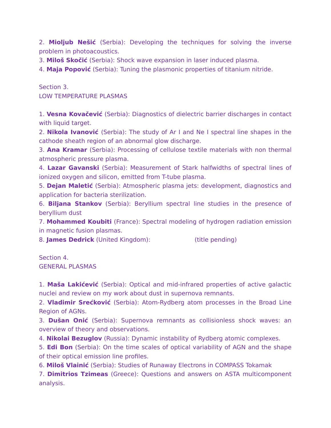2. **Mioljub Nešić** (Serbia): Developing the techniques for solving the inverse problem in photoacoustics.

3. **Miloš Skočić** (Serbia): Shock wave expansion in laser induced plasma.

4. **Maja Popović** (Serbia): Tuning the plasmonic properties of titanium nitride.

Section 3. LOW TEMPERATURE PLASMAS

1. **Vesna Kovačević** (Serbia): Diagnostics of dielectric barrier discharges in contact with liquid target.

2. **Nikola Ivanović** (Serbia): The study of Ar I and Ne I spectral line shapes in the cathode sheath region of an abnormal glow discharge.

3. **Ana Kramar** (Serbia): Processing of cellulose textile materials with non thermal atmospheric pressure plasma.

4. **Lazar Gavanski** (Serbia): Measurement of Stark halfwidths of spectral lines of ionized oxygen and silicon, emitted from T-tube plasma.

5. **Dejan Maletić** (Serbia): Atmospheric plasma jets: development, diagnostics and application for bacteria sterilization.

6. **Biljana Stankov** (Serbia): Beryllium spectral line studies in the presence of beryllium dust

7. **Mohammed Koubiti** (France): Spectral modeling of hydrogen radiation emission in magnetic fusion plasmas.

8. **James Dedrick** (United Kingdom): (title pending)

Section 4. GENERAL PLASMAS

1. **Maša Lakićević** (Serbia): Optical and mid-infrared properties of active galactic nuclei and review on my work about dust in supernova remnants.

2. **Vladimir Srećković** (Serbia): Atom-Rydberg atom processes in the Broad Line Region of AGNs.

3. **Dušan Onić** (Serbia): Supernova remnants as collisionless shock waves: an overview of theory and observations.

4. **Nikolai Bezuglov** (Russia): Dynamic instability of Rydberg atomic complexes.

5. **Edi Bon** (Serbia): On the time scales of optical variability of AGN and the shape of their optical emission line profiles.

6. **Miloš Vlainić** (Serbia): Studies of Runaway Electrons in COMPASS Tokamak

7. **Dimitrios Tzimeas** (Greece): Questions and answers on ASTA multicomponent analysis.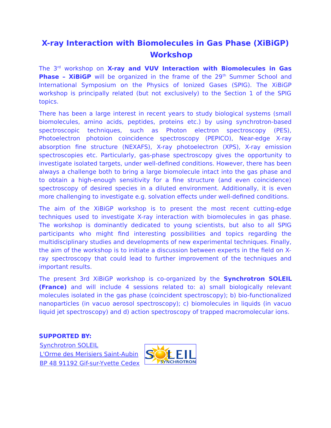### **X-ray Interaction with Biomolecules in Gas Phase (XiBiGP) Workshop**

The 3rd workshop on **X-ray and VUV Interaction with Biomolecules in Gas Phase - XiBiGP** will be organized in the frame of the 29<sup>th</sup> Summer School and International Symposium on the Physics of Ionized Gases (SPIG). The XiBiGP workshop is principally related (but not exclusively) to the Section 1 of the SPIG topics.

There has been a large interest in recent years to study biological systems (small biomolecules, amino acids, peptides, proteins etc.) by using synchrotron-based spectroscopic techniques, such as Photon electron spectroscopy (PES), Photoelectron photoion coincidence spectroscopy (PEPICO), Near-edge X-ray absorption fine structure (NEXAFS), X-ray photoelectron (XPS), X-ray emission spectroscopies etc. Particularly, gas-phase spectroscopy gives the opportunity to investigate isolated targets, under well-defined conditions. However, there has been always a challenge both to bring a large biomolecule intact into the gas phase and to obtain a high-enough sensitivity for a fine structure (and even coincidence) spectroscopy of desired species in a diluted environment. Additionally, it is even more challenging to investigate e.g. solvation effects under well-defined conditions.

The aim of the XiBiGP workshop is to present the most recent cutting-edge techniques used to investigate X-ray interaction with biomolecules in gas phase. The workshop is dominantly dedicated to young scientists, but also to all SPIG participants who might find interesting possibilities and topics regarding the multidisciplinary studies and developments of new experimental techniques. Finally, the aim of the workshop is to initiate a discussion between experts in the field on Xray spectroscopy that could lead to further improvement of the techniques and important results.

The present 3rd XiBiGP workshop is co-organized by the **Synchrotron SOLEIL (France)** and will include 4 sessions related to: a) small biologically relevant molecules isolated in the gas phase (coincident spectroscopy); b) bio-functionalized nanoparticles (in vacuo aerosol spectroscopy); c) biomolecules in liquids (in vacuo liquid jet spectroscopy) and d) action spectroscopy of trapped macromolecular ions.

#### **SUPPORTED BY:**

[Synchrotron SOLEIL](https://www.synchrotron-soleil.fr/) [L'Orme des Merisiers Saint-Aubin](https://www.synchrotron-soleil.fr/) [BP 48 91192 Gif-sur-Yvette Cedex](https://www.synchrotron-soleil.fr/)

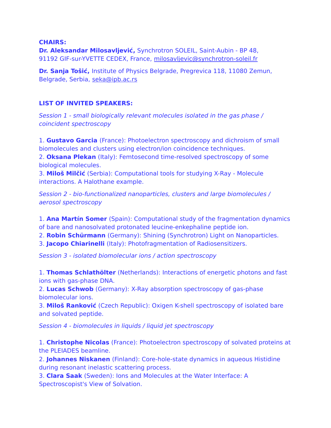#### **CHAIRS:**

**[Dr. Aleksandar Milosavljević,](http://mail.ipb.ac.rs/~vraz/)** Synchrotron SOLEIL, Saint-Aubin - BP 48, 91192 GIF-sur-YVETTE CEDEX, France, [milosavljevic@synchrotron-soleil.fr](mailto:milosavljevic@synchrotron-soleil.fr)

**[Dr. Sanja Tošić,](http://uranus.ipb.ac.rs/~seka/)** Institute of Physics Belgrade, Pregrevica 118, 11080 Zemun, Belgrade, Serbia, [seka@ipb.ac.rs](mailto:seka@ipb.ac.rs)

#### **LIST OF INVITED SPEAKERS:**

Session 1 - small biologically relevant molecules isolated in the gas phase / coincident spectroscopy

1. **Gustavo Garcia** (France): Photoelectron spectroscopy and dichroism of small biomolecules and clusters using electron/ion coincidence techniques.

2. **Oksana Plekan** (Italy): Femtosecond time-resolved spectroscopy of some biological molecules.

3. **Miloš Milčić** (Serbia): Computational tools for studying X-Ray - Molecule interactions. A Halothane example.

Session 2 - bio-functionalized nanoparticles, clusters and large biomolecules / aerosol spectroscopy

1. **Ana Martín Somer** (Spain): Computational study of the fragmentation dynamics of bare and nanosolvated protonated leucine-enkephaline peptide ion.

2. **Robin Schürmann** (Germany): Shining (Synchrotron) Light on Nanoparticles.

3. **Jacopo Chiarinelli** (Italy): Photofragmentation of Radiosensitizers.

Session 3 - isolated biomolecular ions / action spectroscopy

1. **Thomas Schlathölter** (Netherlands): Interactions of energetic photons and fast ions with gas-phase DNA.

2. **Lucas Schwob** (Germany): X-Ray absorption spectroscopy of gas-phase biomolecular ions.

3. **Miloš Ranković** (Czech Republic): Oxigen K-shell spectroscopy of isolated bare and solvated peptide.

Session 4 - biomolecules in liquids / liquid jet spectroscopy

1. **Christophe Nicolas** (France): Photoelectron spectroscopy of solvated proteins at the PLEIADES beamline.

2. **Johannes Niskanen** (Finland): Core-hole-state dynamics in aqueous Histidine during resonant inelastic scattering process.

3. **Clara Saak** (Sweden): Ions and Molecules at the Water Interface: A Spectroscopist's View of Solvation.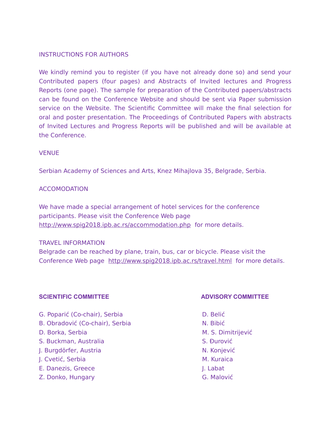#### INSTRUCTIONS FOR AUTHORS

We kindly remind you to register (if you have not already done so) and send your Contributed papers (four pages) and Abstracts of Invited lectures and Progress Reports (one page). The sample for preparation of the Contributed papers/abstracts can be found on the Conference Website and should be sent via Paper submission service on the Website. The Scientific Committee will make the final selection for oral and poster presentation. The Proceedings of Contributed Papers with abstracts of Invited Lectures and Progress Reports will be published and will be available at the Conference.

#### VENUE

Serbian Academy of Sciences and Arts, Knez Mihajlova 35, Belgrade, Serbia.

#### ACCOMODATION

We have made a special arrangement of hotel services for the conference participants. Please visit the Conference Web page <http://www.spig2018.ipb.ac.rs/accommodation.php>for more details.

#### TRAVEL INFORMATION

Belgrade can be reached by plane, train, bus, car or bicycle. Please visit the Conference Web page <http://www.spig2018.ipb.ac.rs/travel.html>for more details.

#### **SCIENTIFIC COMMITTEE ADVISORY COMMITTEE**

- G. Poparić (Co-chair), Serbia D. Belić
- B. Obradović (Co-chair), Serbia N. Bibić
- 
- S. Buckman, Australia S. Đurović S. Đurović
- J. Burgdörfer, Austria N. Konjević
- J. Cvetić, Serbia M. Kuraica
- E. Danezis, Greece J. Labat
- Z. Donko, Hungary G. Malović

- 
- 
- D. Borka, Serbia M. S. Dimitrijević
	-
	-
	-
	-
	-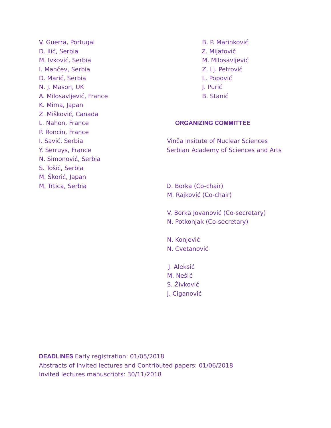- V. Guerra, Portugal B. P. Marinković D. Ilić, Serbia Z. Mijatović M. Ivković, Serbia M. Milosavljević I. Mančev, Serbia Z. Lj. Petrović D. Marić, Serbia L. Popović N. J. Mason, UK J. Purić II. Purić II. Purić II. Purić II. Purić II. Purić II. Purić II. Purić II. Purić II. Purić II. Purić II. Purić II. Purić II. Purić II. Purić II. Purić II. Purić II. Purić II. Purić II. Purić II. Pur A. Milosavljević, France B. Stanić K. Mima, Japan Z. Mišković, Canada P. Roncin, France N. Simonović, Serbia S. Tošić, Serbia M. Škorić, Japan M. Trtica, Serbia **D. Borka (Co-chair)**
- 

#### L. Nahon, France **ORGANIZING COMMITTEE**

I. Savić, Serbia Vinča Insitute of Nuclear Sciences Y. Serruys, France Serbian Academy of Sciences and Arts

- M. Rajković (Co-chair)
- V. Borka Jovanović (Co-secretary)
- N. Potkonjak (Co-secretary)
- N. Konjević N. Cvetanović
- J. Aleksić
- M. Nešić
- S. Živković
- J. Ciganović

**DEADLINES** Early registration: 01/05/2018 Abstracts of Invited lectures and Contributed papers: 01/06/2018 Invited lectures manuscripts: 30/11/2018